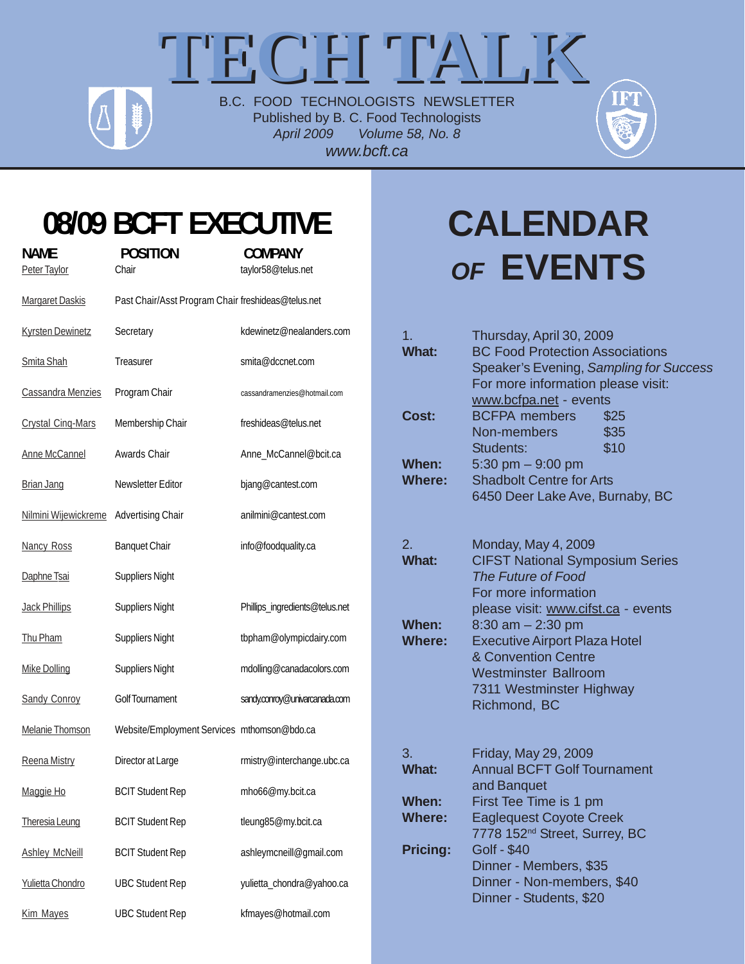## TECH TALK B.C. FOOD TECHNOLOGISTS NEWSLETTER

Published by B. C. Food Technologists *April 2009 Volume 58, No. 8 www.bcft.ca*



### **08/09 BCFT EXECUTIVE**

| <b>NAME</b><br>Peter Taylor | <b>POSITION</b><br>Chair                           | <b>COMPANY</b><br>taylor58@telus.net |
|-----------------------------|----------------------------------------------------|--------------------------------------|
|                             |                                                    |                                      |
| <b>Margaret Daskis</b>      | Past Chair/Asst Program Chair freshideas@telus.net |                                      |
| <b>Kyrsten Dewinetz</b>     | Secretary                                          | kdewinetz@nealanders.com             |
| <b>Smita Shah</b>           | Treasurer                                          | smita@dccnet.com                     |
| Cassandra Menzies           | Program Chair                                      | cassandramenzies@hotmail.com         |
| <b>Crystal Cing-Mars</b>    | Membership Chair                                   | freshideas@telus.net                 |
| <b>Anne McCannel</b>        | Awards Chair                                       | Anne_McCannel@bcit.ca                |
| <b>Brian Jang</b>           | Newsletter Editor                                  | bjang@cantest.com                    |
| Nilmini Wijewickreme        | <b>Advertising Chair</b>                           | anilmini@cantest.com                 |
| <b>Nancy Ross</b>           | <b>Banquet Chair</b>                               | info@foodquality.ca                  |
| Daphne Tsai                 | <b>Suppliers Night</b>                             |                                      |
| <b>Jack Phillips</b>        | <b>Suppliers Night</b>                             | Phillips_ingredients@telus.net       |
| Thu Pham                    | <b>Suppliers Night</b>                             | tbpham@olympicdairy.com              |
| <b>Mike Dolling</b>         | <b>Suppliers Night</b>                             | mdolling@canadacolors.com            |
| <b>Sandy Conroy</b>         | <b>Golf Tournament</b>                             | sandy.conroy@univarcanada.com        |
| <b>Melanie Thomson</b>      | Website/Employment Services mthomson@bdo.ca        |                                      |
| Reena Mistry                | Director at Large                                  | rmistry@interchange.ubc.ca           |
| Maggie Ho                   | <b>BCIT Student Rep</b>                            | mho66@my.bcit.ca                     |
| <b>Theresia Leung</b>       | <b>BCIT Student Rep</b>                            | tleung85@my.bcit.ca                  |
| <b>Ashley McNeill</b>       | <b>BCIT Student Rep</b>                            | ashleymcneill@gmail.com              |
| Yulietta Chondro            | <b>UBC Student Rep</b>                             | yulietta_chondra@yahoo.ca            |
| <b>Kim Mayes</b>            | <b>UBC Student Rep</b>                             | kfmayes@hotmail.com                  |

## **CALENDAR** *OF* **EVENTS**

| 1. | <b>What:</b>                  | Thursday, April 30, 2009<br><b>BC Food Protection Associations</b><br>Speaker's Evening, Sampling for Success<br>For more information please visit:<br>www.bcfpa.net - events |
|----|-------------------------------|-------------------------------------------------------------------------------------------------------------------------------------------------------------------------------|
|    | Cost:                         | <b>BCFPA</b> members<br>\$25<br>\$35<br>Non-members<br>\$10<br>Students:                                                                                                      |
|    | When:<br><b>Where:</b>        | 5:30 pm $-9:00$ pm<br><b>Shadbolt Centre for Arts</b><br>6450 Deer Lake Ave, Burnaby, BC                                                                                      |
| 2. | <b>What:</b>                  | Monday, May 4, 2009<br><b>CIFST National Symposium Series</b><br>The Future of Food<br>For more information<br>please visit: www.cifst.ca - events                            |
|    | <b>When:</b><br><b>Where:</b> | $8:30$ am $- 2:30$ pm<br><b>Executive Airport Plaza Hotel</b><br>& Convention Centre<br><b>Westminster Ballroom</b><br>7311 Westminster Highway<br>Richmond, BC               |
| 3. | <b>What:</b>                  | Friday, May 29, 2009<br><b>Annual BCFT Golf Tournament</b><br>and Banquet                                                                                                     |
|    | When:<br><b>Where:</b>        | First Tee Time is 1 pm<br><b>Eaglequest Coyote Creek</b><br>7778 152 <sup>nd</sup> Street, Surrey, BC                                                                         |
|    | <b>Pricing:</b>               | <b>Golf - \$40</b><br>Dinner - Members, \$35<br>Dinner - Non-members, \$40<br>Dinner - Students, \$20                                                                         |
|    |                               |                                                                                                                                                                               |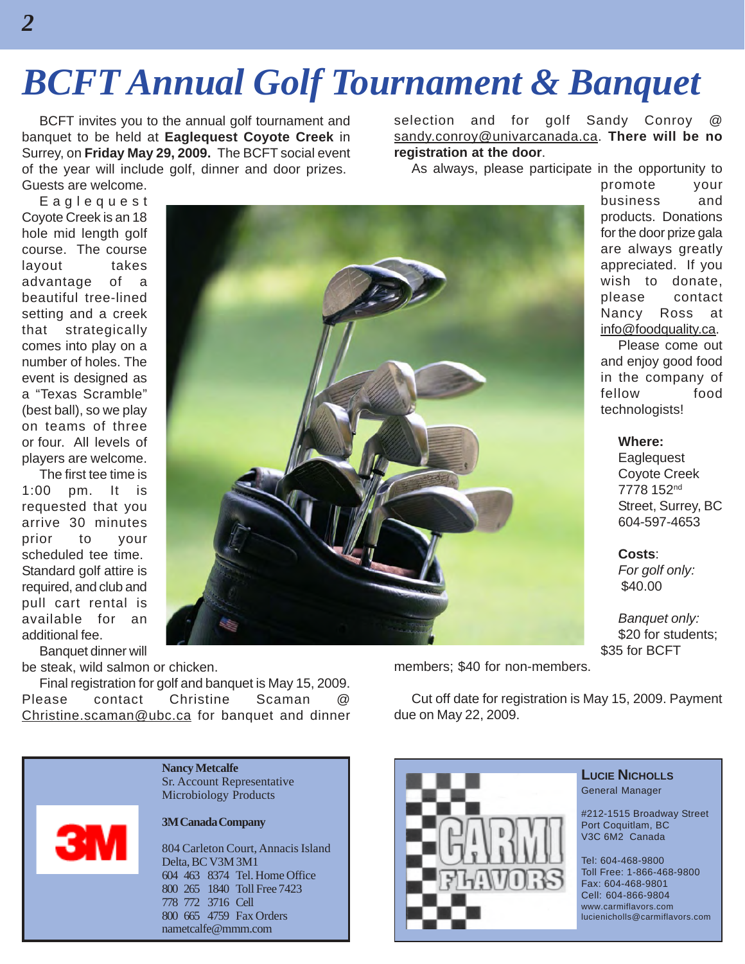## *BCFT Annual Golf Tournament & Banquet*

BCFT invites you to the annual golf tournament and banquet to be held at **Eaglequest Coyote Creek** in Surrey, on **Friday May 29, 2009.** The BCFT social event of the year will include golf, dinner and door prizes. Guests are welcome.

selection and for golf Sandy Conroy sandy.conroy@univarcanada.ca. **There will be no registration at the door**.

As always, please participate in the opportunity to

Eaglequest Coyote Creek is an 18 hole mid length golf course. The course layout takes advantage of a beautiful tree-lined setting and a creek that strategically comes into play on a number of holes. The event is designed as a "Texas Scramble" (best ball), so we play on teams of three or four. All levels of players are welcome.

The first tee time is 1:00 pm. It is requested that you arrive 30 minutes prior to your scheduled tee time. Standard golf attire is required, and club and pull cart rental is available for an additional fee.

Banquet dinner will be steak, wild salmon or chicken.

Final registration for golf and banquet is May 15, 2009. Please contact Christine Scaman @ Christine.scaman@ubc.ca for banquet and dinner

**Nancy Metcalfe**



#### **3M Canada Company**

Sr. Account Representative Microbiology Products

804 Carleton Court, Annacis Island Delta, BC V3M 3M1 604 463 8374 Tel. Home Office 800 265 1840 Toll Free 7423 778 772 3716 Cell 800 665 4759 Fax Orders nametcalfe@mmm.com



promote your business and products. Donations for the door prize gala are always greatly appreciated. If you wish to donate, please contact Nancy Ross at info@foodquality.ca.

Please come out and enjoy good food in the company of fellow food technologists!

**Where:**

**Eaglequest** Coyote Creek 7778 152nd Street, Surrey, BC 604-597-4653

**Costs**:

*For golf only:* \$40.00

*Banquet only:* \$20 for students; \$35 for BCFT

members; \$40 for non-members.

Cut off date for registration is May 15, 2009. Payment due on May 22, 2009.



#### **LUCIE NICHOLLS** General Manager

#212-1515 Broadway Street Port Coquitlam, BC V3C 6M2 Canada

Tel: 604-468-9800 Toll Free: 1-866-468-9800 Fax: 604-468-9801 Cell: 604-866-9804 www.carmiflavors.com lucienicholls@carmiflavors.com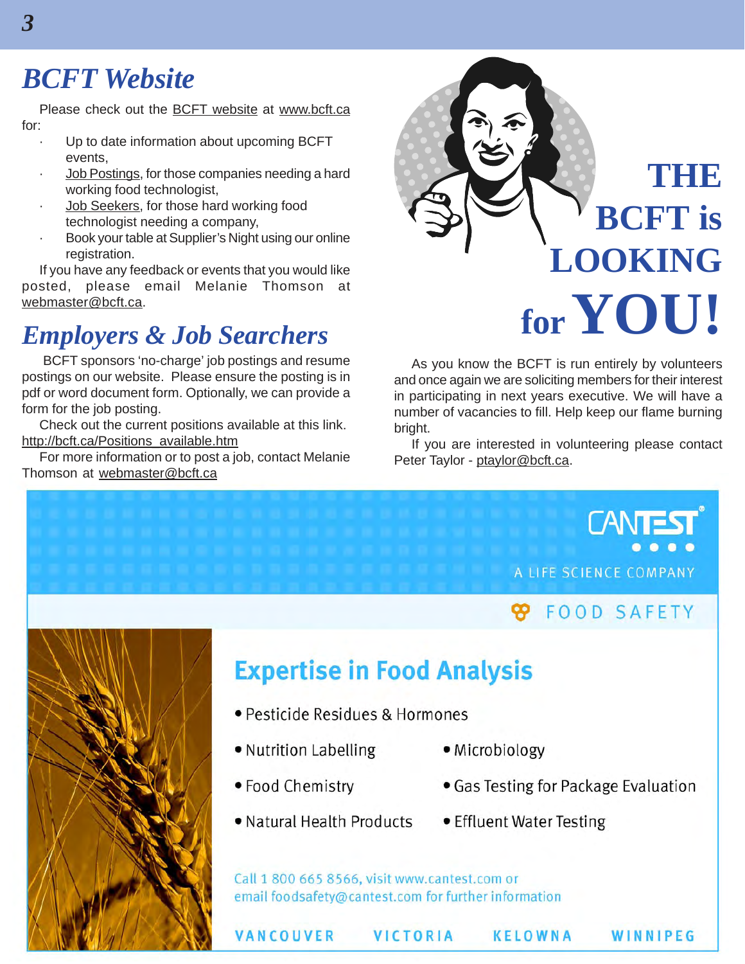### *BCFT Website*

Please check out the BCFT website at www.bcft.ca for:

- Up to date information about upcoming BCFT events,
- Job Postings, for those companies needing a hard working food technologist,
- Job Seekers, for those hard working food technologist needing a company,
- Book your table at Supplier's Night using our online registration.

If you have any feedback or events that you would like posted, please email Melanie Thomson at webmaster@bcft.ca.

### *Employers & Job Searchers*

 BCFT sponsors 'no-charge' job postings and resume postings on our website. Please ensure the posting is in pdf or word document form. Optionally, we can provide a form for the job posting.

Check out the current positions available at this link. http://bcft.ca/Positions\_available.htm

For more information or to post a job, contact Melanie Thomson at webmaster@bcft.ca



As you know the BCFT is run entirely by volunteers and once again we are soliciting members for their interest in participating in next years executive. We will have a number of vacancies to fill. Help keep our flame burning bright.

If you are interested in volunteering please contact Peter Taylor - ptaylor@bcft.ca.

> **CANT** A LIFE SCIENCE COMPANY

### **FOOD SAFETY**

WINNIPEG



### **Expertise in Food Analysis**

- · Pesticide Residues & Hormones
- Nutrition Labelling
- Food Chemistry
- 

**VANCOUVER** 

- Microbiology
- Gas Testing for Package Evaluation
- Natural Health Products
- Effluent Water Testing

KELOWNA

Call 1 800 665 8566, visit www.cantest.com or email foodsafety@cantest.com for further information

VICTORIA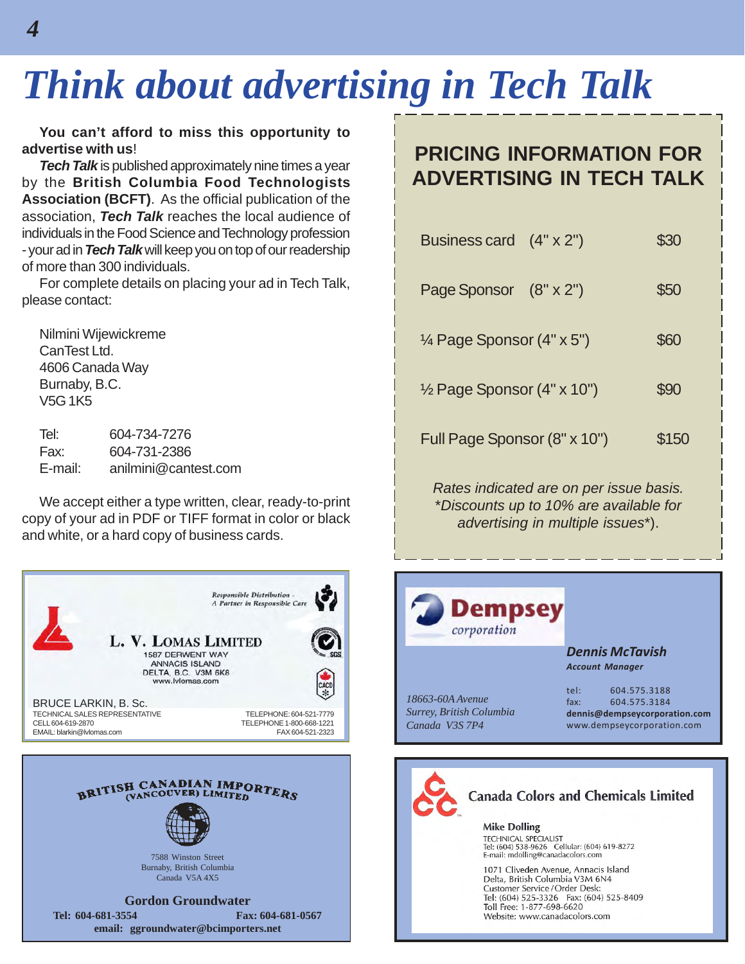## *Think about advertising in Tech Talk*

**You can't afford to miss this opportunity to advertise with us**!

*Tech Talk* is published approximately nine times a year by the **British Columbia Food Technologists Association (BCFT)**. As the official publication of the association, *Tech Talk* reaches the local audience of individuals in the Food Science and Technology profession - your ad in *Tech Talk* will keep you on top of our readership of more than 300 individuals.

For complete details on placing your ad in Tech Talk, please contact:

Nilmini Wijewickreme CanTest Ltd. 4606 Canada Way Burnaby, B.C. V5G 1K5

Tel: 604-734-7276 Fax: 604-731-2386 E-mail: anilmini@cantest.com

We accept either a type written, clear, ready-to-print copy of your ad in PDF or TIFF format in color or black and white, or a hard copy of business cards.



Canada V5A 4X5

**Gordon Groundwater Tel: 604-681-3554 Fax: 604-681-0567 email: ggroundwater@bcimporters.net**

### **PRICING INFORMATION FOR ADVERTISING IN TECH TALK**

| Business card (4" x 2")              | \$30  |
|--------------------------------------|-------|
| Page Sponsor (8" x 2")               | \$50  |
| $\frac{1}{4}$ Page Sponsor (4" x 5") | \$60  |
| 1/2 Page Sponsor (4" x 10")          | \$90  |
| Full Page Sponsor (8" x 10")         | \$150 |
|                                      |       |

*Rates indicated are on per issue basis.* \**Discounts up to 10% are available for advertising in multiple issues*\*).



Website: www.canadacolors.com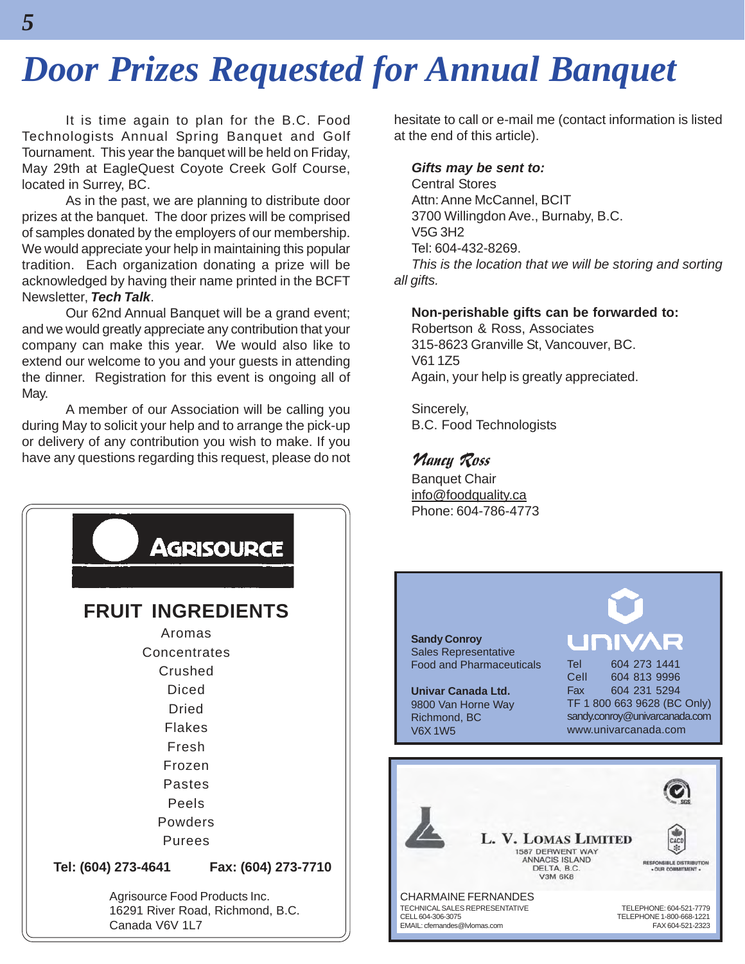## *Door Prizes Requested for Annual Banquet*

It is time again to plan for the B.C. Food Technologists Annual Spring Banquet and Golf Tournament. This year the banquet will be held on Friday, May 29th at EagleQuest Coyote Creek Golf Course, located in Surrey, BC.

As in the past, we are planning to distribute door prizes at the banquet. The door prizes will be comprised of samples donated by the employers of our membership. We would appreciate your help in maintaining this popular tradition. Each organization donating a prize will be acknowledged by having their name printed in the BCFT Newsletter, *Tech Talk*.

Our 62nd Annual Banquet will be a grand event; and we would greatly appreciate any contribution that your company can make this year. We would also like to extend our welcome to you and your guests in attending the dinner. Registration for this event is ongoing all of May.

A member of our Association will be calling you during May to solicit your help and to arrange the pick-up or delivery of any contribution you wish to make. If you have any questions regarding this request, please do not



hesitate to call or e-mail me (contact information is listed at the end of this article).

#### *Gifts may be sent to:*

Central Stores Attn: Anne McCannel, BCIT 3700 Willingdon Ave., Burnaby, B.C. V5G 3H2 Tel: 604-432-8269. *This is the location that we will be storing and sorting all gifts.*

#### **Non-perishable gifts can be forwarded to:**

Robertson & Ross, Associates 315-8623 Granville St, Vancouver, BC. V61 1Z5 Again, your help is greatly appreciated.

Sincerely, B.C. Food Technologists

#### Nancy Ross

Banquet Chair info@foodquality.ca Phone: 604-786-4773



**Univar Canada Ltd.** 9800 Van Horne Way Richmond, BC V6X 1W5

UIF Tel 604 273 1441

Cell 604 813 9996 Fax 604 231 5294 TF 1 800 663 9628 (BC Only) sandy.conroy@univarcanada.com www.univarcanada.com